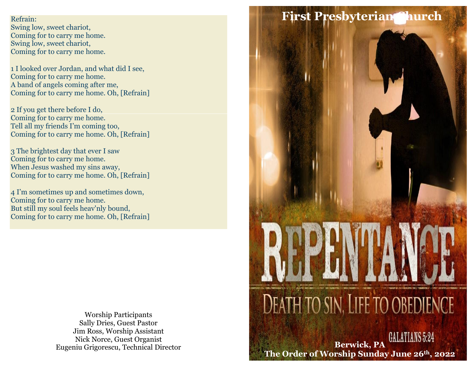Refrain: Swing low, sweet chariot, Coming for to carry me home. Swing low, sweet chariot, Coming for to carry me home.

1 I looked over Jordan, and what did I see, Coming for to carry me home. A band of angels coming after me, Coming for to carry me home. Oh, [Refrain]

2 If you get there before I do, Coming for to carry me home. Tell all my friends I'm coming too, Coming for to carry me home. Oh, [Refrain]

3 The brightest day that ever I saw Coming for to carry me home. When Jesus washed my sins away, Coming for to carry me home. Oh, [Refrain]

4 I'm sometimes up and sometimes down, Coming for to carry me home. But still my soul feels heav'nly bound, Coming for to carry me home. Oh, [Refrain]

> Worship Participants Sally Dries, Guest Pastor Jim Ross, Worship Assistant Nick Norce, Guest Organist Eugeniu Grigorescu, Technical Director

# **First Presbyterian Church**